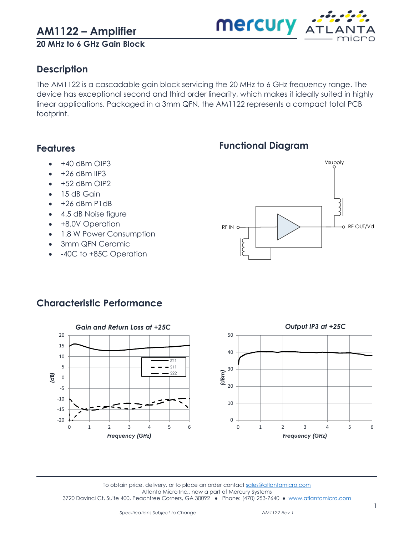**20 MHz to 6 GHz Gain Block**

### <span id="page-0-0"></span>**Description**

The AM1122 is a cascadable gain block servicing the 20 MHz to 6 GHz frequency range. The device has exceptional second and third order linearity, which makes it ideally suited in highly linear applications. Packaged in a 3mm QFN, the AM1122 represents a compact total PCB footprint.

### <span id="page-0-1"></span>**Features**

- +40 dBm OIP3
- $\bullet$  +26 dBm IIP3
- +52 dBm OIP2
- 15 dB Gain
- +26 dBm P1dB
- 4.5 dB Noise figure
- +8.0V Operation
- 1.8 W Power Consumption
- 3mm QFN Ceramic
- -40C to +85C Operation

<span id="page-0-2"></span>

**Mercury ATL** 



### <span id="page-0-3"></span>**Characteristic Performance**

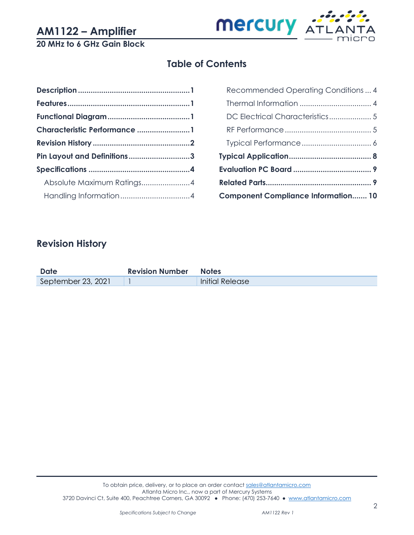

### **20 MHz to 6 GHz Gain Block**

## **Table of Contents**

| Characteristic Performance 1 |  |
|------------------------------|--|
|                              |  |
| Pin Layout and Definitions3  |  |
|                              |  |
| Absolute Maximum Ratings4    |  |
|                              |  |
|                              |  |

| <b>Component Compliance Information 10</b> |  |
|--------------------------------------------|--|
|                                            |  |
|                                            |  |
|                                            |  |
|                                            |  |
|                                            |  |
| DC Electrical Characteristics 5            |  |
|                                            |  |
| Recommended Operating Conditions  4        |  |

### <span id="page-1-0"></span>**Revision History**

| <b>Date</b>        | <b>Revision Number Notes</b> |                        |
|--------------------|------------------------------|------------------------|
| September 23, 2021 |                              | <b>Initial Release</b> |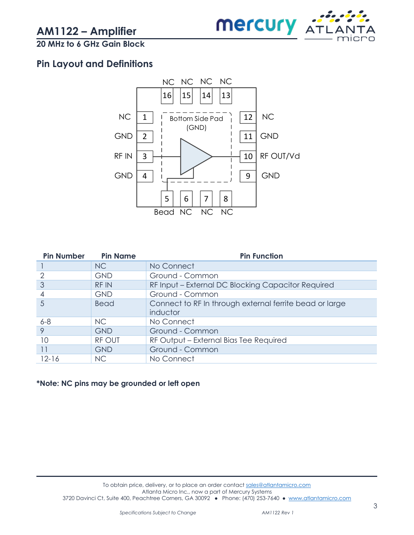

### **20 MHz to 6 GHz Gain Block**

### <span id="page-2-0"></span>**Pin Layout and Definitions**



| <b>Pin Name</b> | <b>Pin Function</b>                                     |
|-----------------|---------------------------------------------------------|
| <b>NC</b>       | No Connect                                              |
| <b>GND</b>      | Ground - Common                                         |
| <b>RFIN</b>     | RF Input - External DC Blocking Capacitor Required      |
| <b>GND</b>      | Ground - Common                                         |
| <b>Bead</b>     | Connect to RF In through external ferrite bead or large |
|                 | inductor                                                |
| NC.             | No Connect                                              |
| <b>GND</b>      | Ground - Common                                         |
| <b>RF OUT</b>   | RF Output - External Bias Tee Required                  |
| <b>GND</b>      | Ground - Common                                         |
| N <sub>C</sub>  | No Connect                                              |
|                 |                                                         |

#### **\*Note: NC pins may be grounded or left open**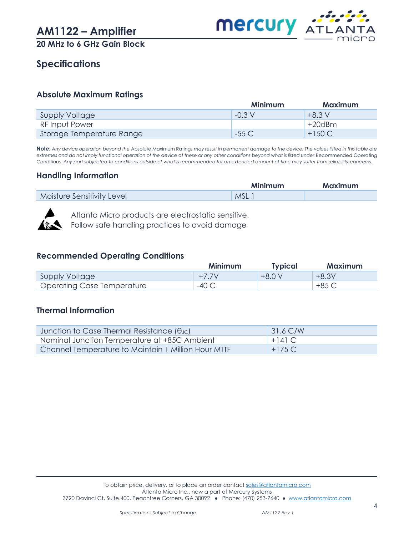

**20 MHz to 6 GHz Gain Block**

### <span id="page-3-0"></span>**Specifications**

#### <span id="page-3-1"></span>**Absolute Maximum Ratings**

|                           | Minimum          | Maximum   |
|---------------------------|------------------|-----------|
| Supply Voltage            | $-0.3 \text{ V}$ | $+8.3V$   |
| <b>RF Input Power</b>     |                  | $+20$ dBm |
| Storage Temperature Range | -55 C            | $+150C$   |

**Note:** *Any device operation beyond the* Absolute Maximum Ratings *may result in permanent damage to the device. The values listed in this table are*  extremes and do not imply functional operation of the device at these or any other conditions beyond what is listed under Recommended Operating Conditions*. Any part subjected to conditions outside of what is recommended for an extended amount of time may suffer from reliability concerns.*

#### <span id="page-3-2"></span>**Handling Information**

|                            | <b>Minimum</b> | <b>Maximum</b> |
|----------------------------|----------------|----------------|
| Moisture Sensitivity Level | <b>MSL</b>     |                |



Atlanta Micro products are electrostatic sensitive. Follow safe handling practices to avoid damage

#### <span id="page-3-3"></span>**Recommended Operating Conditions**

|                            | Minimum | Typical  | <b>Maximum</b> |
|----------------------------|---------|----------|----------------|
| Supply Voltage             | $+77$   | $+8.0 V$ | $+8.3V$        |
| Operating Case Temperature | $-40C$  |          | +85 C          |

#### <span id="page-3-4"></span>**Thermal Information**

| Junction to Case Thermal Resistance $(\theta_{\text{JC}})$ | $31.6$ C/W |
|------------------------------------------------------------|------------|
| Nominal Junction Temperature at +85C Ambient               | $+141$ C.  |
| Channel Temperature to Maintain 1 Million Hour MTTF        | $+175C$    |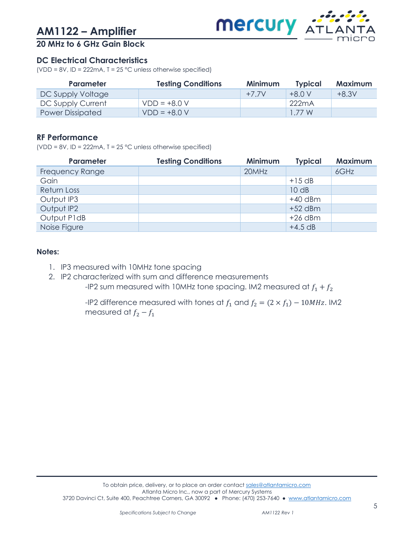

### **20 MHz to 6 GHz Gain Block**

#### <span id="page-4-0"></span>**DC Electrical Characteristics**

(VDD = 8V, ID = 222mA,  $T = 25$  °C unless otherwise specified)

| <b>Parameter</b>        | <b>Testing Conditions</b> | <b>Minimum</b> | <b>Typical</b> | <b>Maximum</b> |
|-------------------------|---------------------------|----------------|----------------|----------------|
| DC Supply Voltage       |                           | $+77V$         | $+80V$         | $+8.3V$        |
| DC Supply Current       | $VDD = +8.0 V$            |                | 222mA          |                |
| <b>Power Dissipated</b> | $VDD = +8.0 V$            |                | 1 77 W         |                |

#### <span id="page-4-1"></span>**RF Performance**

(VDD = 8V, ID = 222mA,  $T = 25$  °C unless otherwise specified)

| Parameter              | <b>Testing Conditions</b> | <b>Minimum</b> | <b>Typical</b> | <b>Maximum</b> |
|------------------------|---------------------------|----------------|----------------|----------------|
| <b>Frequency Range</b> |                           | 20MHz          |                | 6GHz           |
| Gain                   |                           |                | $+15$ dB       |                |
| Return Loss            |                           |                | 10 dB          |                |
| Output IP3             |                           |                | $+40$ dBm      |                |
| Output IP2             |                           |                | $+52$ dBm      |                |
| Output P1dB            |                           |                | $+26$ dBm      |                |
| Noise Figure           |                           |                | $+4.5$ dB      |                |

#### **Notes:**

- 1. IP3 measured with 10MHz tone spacing
- 2. IP2 characterized with sum and difference measurements

-IP2 sum measured with 10MHz tone spacing. IM2 measured at  $f_1 + f_2$ 

-IP2 difference measured with tones at  $f_1$  and  $f_2 = (2 \times f_1) - 10MHz$ . IM2 measured at  $f_2 - f_1$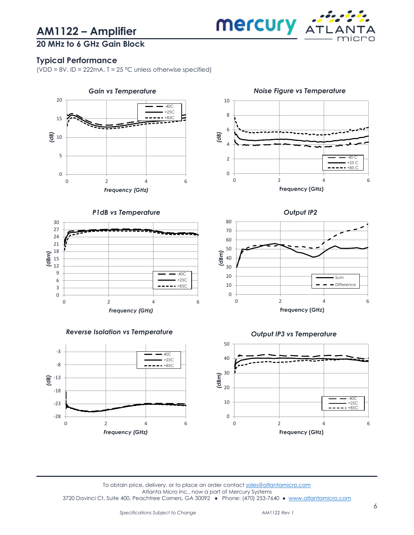

### **20 MHz to 6 GHz Gain Block**

#### <span id="page-5-0"></span>**Typical Performance**

(VDD = 8V, ID = 222mA,  $T = 25$  °C unless otherwise specified)

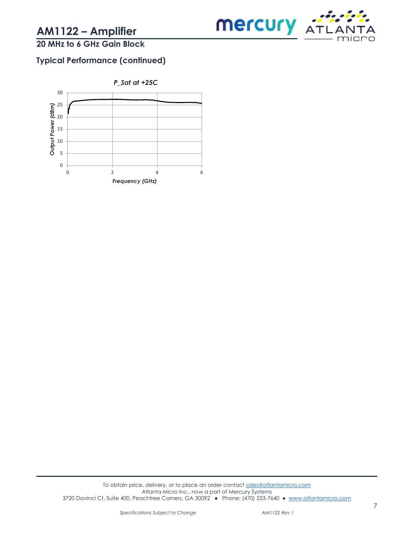

### **20 MHz to 6 GHz Gain Block**

### **Typical Performance (continued)**

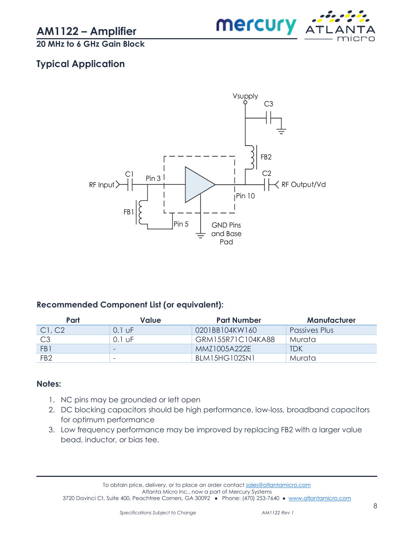

**20 MHz to 6 GHz Gain Block**

### <span id="page-7-0"></span>**Typical Application**



#### **Recommended Component List (or equivalent):**

| Part            | Value    | <b>Part Number</b> | Manufacturer  |
|-----------------|----------|--------------------|---------------|
| Cl, C2          | $0.1$ UF | 0201BB104KW160     | Passives Plus |
| C <sub>3</sub>  | 0.1 uF   | GRM155R71C104KA88  | Murata        |
| FB1             | -        | MMZ1005A222E       | <b>TDK</b>    |
| FB <sub>2</sub> | ۰        | BLM15HG102SN1      | Murata        |

#### **Notes:**

- 1. NC pins may be grounded or left open
- 2. DC blocking capacitors should be high performance, low-loss, broadband capacitors for optimum performance
- 3. Low frequency performance may be improved by replacing FB2 with a larger value bead, inductor, or bias tee.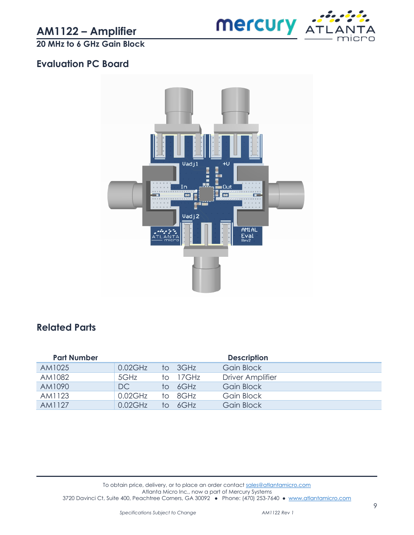

**20 MHz to 6 GHz Gain Block**

### <span id="page-8-0"></span>**Evaluation PC Board**



### <span id="page-8-1"></span>**Related Parts**

| <b>Part Number</b> |            |    |          | <b>Description</b>      |
|--------------------|------------|----|----------|-------------------------|
| AM1025             | $0.02$ GHz |    | to 3GHz  | Gain Block              |
| AM1082             | 5GHz       |    | to 17GHz | <b>Driver Amplifier</b> |
| AM1090             | DC         |    | to 6GHz  | <b>Gain Block</b>       |
| AM1123             | $0.02$ GHz |    | to 8GHz  | Gain Block              |
| AM1127             | $0.02$ GHz | tΩ | AGHz     | Gain Block              |